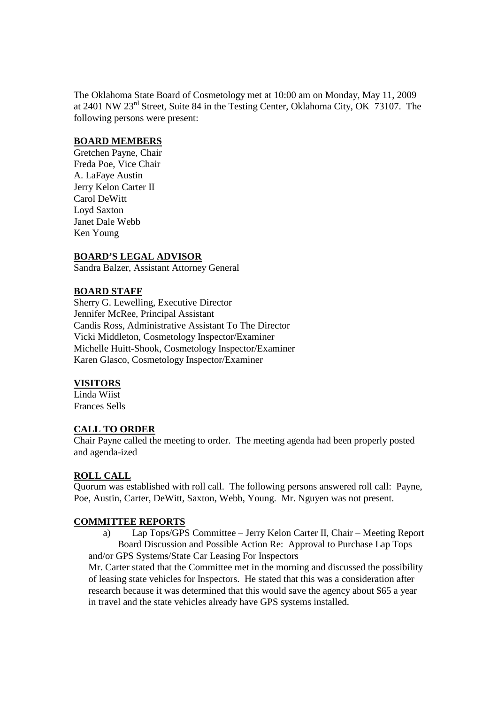The Oklahoma State Board of Cosmetology met at 10:00 am on Monday, May 11, 2009 at 2401 NW 23rd Street, Suite 84 in the Testing Center, Oklahoma City, OK 73107. The following persons were present:

### **BOARD MEMBERS**

Gretchen Payne, Chair Freda Poe, Vice Chair A. LaFaye Austin Jerry Kelon Carter II Carol DeWitt Loyd Saxton Janet Dale Webb Ken Young

### **BOARD'S LEGAL ADVISOR**

Sandra Balzer, Assistant Attorney General

### **BOARD STAFF**

Sherry G. Lewelling, Executive Director Jennifer McRee, Principal Assistant Candis Ross, Administrative Assistant To The Director Vicki Middleton, Cosmetology Inspector/Examiner Michelle Huitt-Shook, Cosmetology Inspector/Examiner Karen Glasco, Cosmetology Inspector/Examiner

#### **VISITORS**

Linda Wiist Frances Sells

#### **CALL TO ORDER**

Chair Payne called the meeting to order. The meeting agenda had been properly posted and agenda-ized

### **ROLL CALL**

Quorum was established with roll call. The following persons answered roll call: Payne, Poe, Austin, Carter, DeWitt, Saxton, Webb, Young. Mr. Nguyen was not present.

#### **COMMITTEE REPORTS**

a) Lap Tops/GPS Committee – Jerry Kelon Carter II, Chair – Meeting Report Board Discussion and Possible Action Re: Approval to Purchase Lap Tops and/or GPS Systems/State Car Leasing For Inspectors

Mr. Carter stated that the Committee met in the morning and discussed the possibility of leasing state vehicles for Inspectors. He stated that this was a consideration after research because it was determined that this would save the agency about \$65 a year in travel and the state vehicles already have GPS systems installed.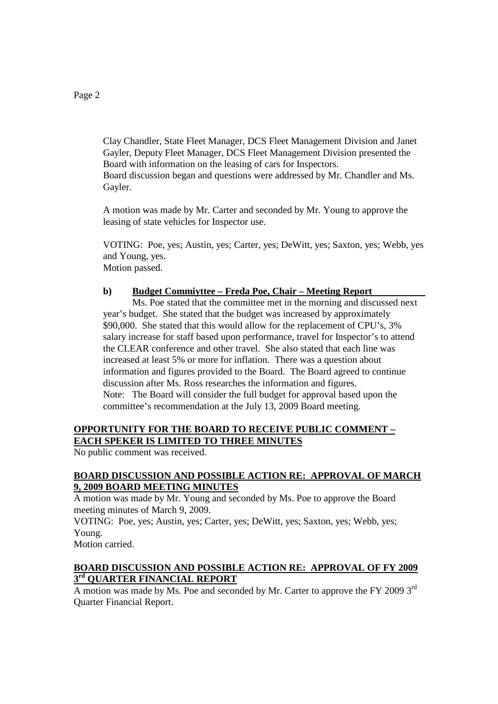Clay Chandler, State Fleet Manager, DCS Fleet Management Division and Janet Gayler, Deputy Fleet Manager, DCS Fleet Management Division presented the Board with information on the leasing of cars for Inspectors. Board discussion began and questions were addressed by Mr. Chandler and Ms. Gayler.

A motion was made by Mr. Carter and seconded by Mr. Young to approve the leasing of state vehicles for Inspector use.

VOTING: Poe, yes; Austin, yes; Carter, yes; DeWitt, yes; Saxton, yes; Webb, yes and Young, yes. Motion passed.

# **b) Budget Commiyttee – Freda Poe, Chair – Meeting Report**

Ms. Poe stated that the committee met in the morning and discussed next year's budget. She stated that the budget was increased by approximately \$90,000. She stated that this would allow for the replacement of CPU's,  $3\%$ salary increase for staff based upon performance, travel for Inspector's to attend the CLEAR conference and other travel. She also stated that each line was increased at least 5% or more for inflation. There was a question about information and figures provided to the Board. The Board agreed to continue discussion after Ms. Ross researches the information and figures. Note: The Board will consider the full budget for approval based upon the committee's recommendation at the July 13, 2009 Board meeting.

## **OPPORTUNITY FOR THE BOARD TO RECEIVE PUBLIC COMMENT – EACH SPEKER IS LIMITED TO THREE MINUTES**

No public comment was received.

## **BOARD DISCUSSION AND POSSIBLE ACTION RE: APPROVAL OF MARCH 9, 2009 BOARD MEETING MINUTES**

A motion was made by Mr. Young and seconded by Ms. Poe to approve the Board meeting minutes of March 9, 2009.

VOTING: Poe, yes; Austin, yes; Carter, yes; DeWitt, yes; Saxton, yes; Webb, yes; Young.

Motion carried.

## **BOARD DISCUSSION AND POSSIBLE ACTION RE: APPROVAL OF FY 2009 3rd QUARTER FINANCIAL REPORT**

A motion was made by Ms. Poe and seconded by Mr. Carter to approve the FY 2009 3rd Quarter Financial Report.

#### Page 2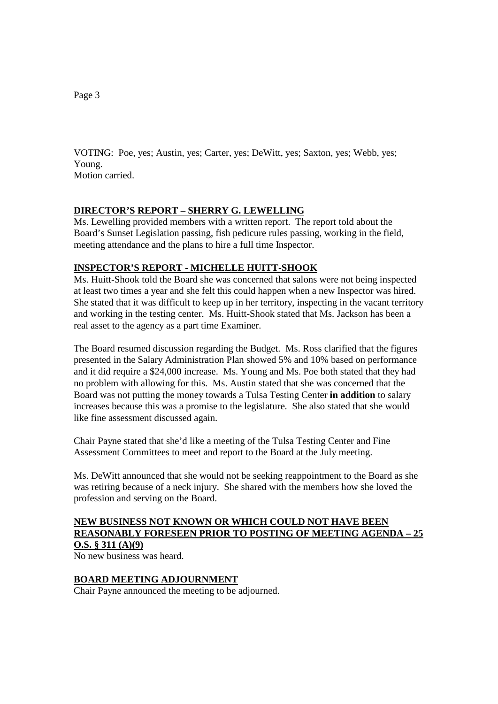VOTING: Poe, yes; Austin, yes; Carter, yes; DeWitt, yes; Saxton, yes; Webb, yes; Young. Motion carried.

# **DIRECTOR'S REPORT – SHERRY G. LEWELLING**

Ms. Lewelling provided members with a written report. The report told about the Board's Sunset Legislation passing, fish pedicure rules passing, working in the field, meeting attendance and the plans to hire a full time Inspector.

## **INSPECTOR'S REPORT - MICHELLE HUITT-SHOOK**

Ms. Huitt-Shook told the Board she was concerned that salons were not being inspected at least two times a year and she felt this could happen when a new Inspector was hired. She stated that it was difficult to keep up in her territory, inspecting in the vacant territory and working in the testing center. Ms. Huitt-Shook stated that Ms. Jackson has been a real asset to the agency as a part time Examiner.

The Board resumed discussion regarding the Budget. Ms. Ross clarified that the figures presented in the Salary Administration Plan showed 5% and 10% based on performance and it did require a \$24,000 increase. Ms. Young and Ms. Poe both stated that they had no problem with allowing for this. Ms. Austin stated that she was concerned that the Board was not putting the money towards a Tulsa Testing Center **in addition** to salary increases because this was a promise to the legislature. She also stated that she would like fine assessment discussed again.

Chair Payne stated that she'd like a meeting of the Tulsa Testing Center and Fine Assessment Committees to meet and report to the Board at the July meeting.

Ms. DeWitt announced that she would not be seeking reappointment to the Board as she was retiring because of a neck injury. She shared with the members how she loved the profession and serving on the Board.

# **NEW BUSINESS NOT KNOWN OR WHICH COULD NOT HAVE BEEN REASONABLY FORESEEN PRIOR TO POSTING OF MEETING AGENDA – 25 O.S. § 311 (A)(9)**

No new business was heard.

# **BOARD MEETING ADJOURNMENT**

Chair Payne announced the meeting to be adjourned.

Page 3